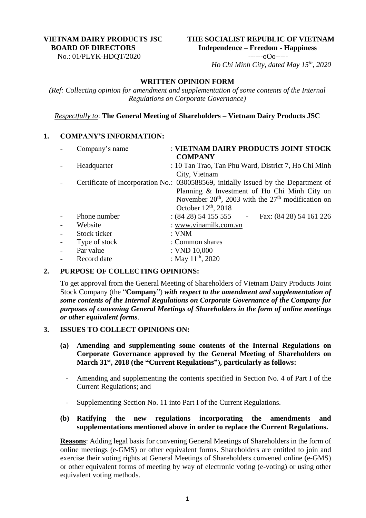#### **VIETNAM DAIRY PRODUCTS JSC BOARD OF DIRECTORS**

#### **THE SOCIALIST REPUBLIC OF VIETNAM Independence – Freedom - Happiness**

No.: 01/PLYK-HDQT/2020 ------oOo-----

*Ho Chi Minh City, dated May 15th , 2020*

## **WRITTEN OPINION FORM**

*(Ref: Collecting opinion for amendment and supplementation of some contents of the Internal Regulations on Corporate Governance)*

*Respectfully to*: **The General Meeting of Shareholders – Vietnam Dairy Products JSC**

## **1. COMPANY'S INFORMATION:**

|                          | Company's name | : VIETNAM DAIRY PRODUCTS JOINT STOCK                                                |
|--------------------------|----------------|-------------------------------------------------------------------------------------|
|                          |                | <b>COMPANY</b>                                                                      |
|                          | Headquarter    | : 10 Tan Trao, Tan Phu Ward, District 7, Ho Chi Minh                                |
|                          |                | City, Vietnam                                                                       |
|                          |                | Certificate of Incorporation No.: 0300588569, initially issued by the Department of |
|                          |                | Planning & Investment of Ho Chi Minh City on                                        |
|                          |                | November $20th$ , 2003 with the $27th$ modification on                              |
|                          |                | October $12th$ , 2018                                                               |
|                          | Phone number   | $(84\ 28)\ 54\ 155\ 555$<br>Fax: (84 28) 54 161 226<br>$\overline{\phantom{a}}$     |
| $\qquad \qquad -$        | Website        | : www.vinamilk.com.vn                                                               |
| $\qquad \qquad -$        | Stock ticker   | : VNM                                                                               |
|                          | Type of stock  | : Common shares                                                                     |
| $\overline{\phantom{a}}$ | Par value      | : VND $10,000$                                                                      |
| $\overline{\phantom{0}}$ | Record date    | : May $11^{th}$ , 2020                                                              |

## **2. PURPOSE OF COLLECTING OPINIONS:**

To get approval from the General Meeting of Shareholders of Vietnam Dairy Products Joint Stock Company (the "**Company**") *with respect to the amendment and supplementation of some contents of the Internal Regulations on Corporate Governance of the Company for purposes of convening General Meetings of Shareholders in the form of online meetings or other equivalent forms*.

## **3. ISSUES TO COLLECT OPINIONS ON:**

- **(a) Amending and supplementing some contents of the Internal Regulations on Corporate Governance approved by the General Meeting of Shareholders on March 31st, 2018 (the "Current Regulations"), particularly as follows:**
	- Amending and supplementing the contents specified in Section No. 4 of Part I of the Current Regulations; and
	- Supplementing Section No. 11 into Part I of the Current Regulations.

## **(b) Ratifying the new regulations incorporating the amendments and supplementations mentioned above in order to replace the Current Regulations.**

**Reasons**: Adding legal basis for convening General Meetings of Shareholders in the form of online meetings (e-GMS) or other equivalent forms. Shareholders are entitled to join and exercise their voting rights at General Meetings of Shareholders convened online (e-GMS) or other equivalent forms of meeting by way of electronic voting (e-voting) or using other equivalent voting methods.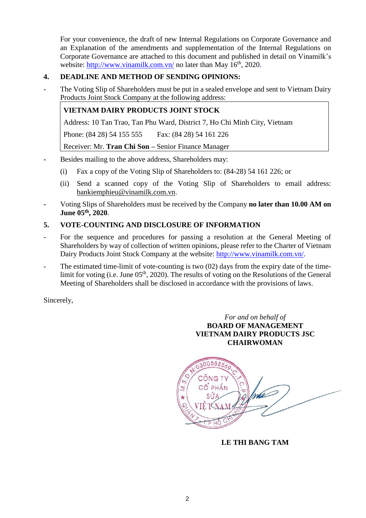For your convenience, the draft of new Internal Regulations on Corporate Governance and an Explanation of the amendments and supplementation of the Internal Regulations on Corporate Governance are attached to this document and published in detail on Vinamilk's website:<http://www.vinamilk.com.vn/> no later than May 16<sup>th</sup>, 2020.

## **4. DEADLINE AND METHOD OF SENDING OPINIONS:**

The Voting Slip of Shareholders must be put in a sealed envelope and sent to Vietnam Dairy Products Joint Stock Company at the following address:

# **VIETNAM DAIRY PRODUCTS JOINT STOCK**

Address: 10 Tan Trao, Tan Phu Ward, District 7, Ho Chi Minh City, Vietnam

Phone: (84 28) 54 155 555 Fax: (84 28) 54 161 226

Receiver: Mr. **Tran Chi Son –** Senior Finance Manager

- **-** Besides mailing to the above address, Shareholders may:
	- (i) Fax a copy of the Voting Slip of Shareholders to: (84-28) 54 161 226; or
	- (ii) Send a scanned copy of the Voting Slip of Shareholders to email address: [bankiemphieu@vinamilk.com.vn.](mailto:bankiemphieu@vinamilk.com.vn)
- **-** Voting Slips of Shareholders must be received by the Company **no later than 10.00 AM on June 05th, 2020**.

## **5. VOTE-COUNTING AND DISCLOSURE OF INFORMATION**

- For the sequence and procedures for passing a resolution at the General Meeting of Shareholders by way of collection of written opinions, please refer to the Charter of Vietnam Dairy Products Joint Stock Company at the website: [http://www.vinamilk.com.vn/.](http://www.vinamilk.com.vn/)
- The estimated time-limit of vote-counting is two  $(02)$  days from the expiry date of the timelimit for voting (i.e. June 05<sup>th</sup>, 2020). The results of voting on the Resolutions of the General Meeting of Shareholders shall be disclosed in accordance with the provisions of laws.

Sincerely,

*For and on behalf of*  **BOARD OF MANAGEMENT VIETNAM DAIRY PRODUCTS JSC CHAIRWOMAN**



## **LE THI BANG TAM**